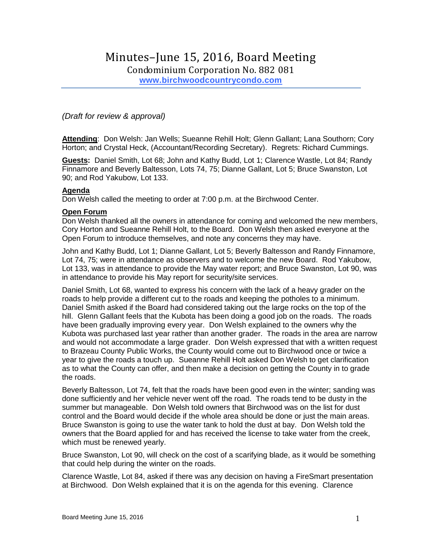# Minutes–June 15, 2016, Board Meeting

Condominium Corporation No. 882 081

**[www.birchwoodcountrycondo.com](http://www.birchwoodcountrycondo.com/)**

# *(Draft for review & approval)*

**Attending**: Don Welsh: Jan Wells; Sueanne Rehill Holt; Glenn Gallant; Lana Southorn; Cory Horton; and Crystal Heck, (Accountant/Recording Secretary). Regrets: Richard Cummings.

**Guests:** Daniel Smith, Lot 68; John and Kathy Budd, Lot 1; Clarence Wastle, Lot 84; Randy Finnamore and Beverly Baltesson, Lots 74, 75; Dianne Gallant, Lot 5; Bruce Swanston, Lot 90; and Rod Yakubow, Lot 133.

## **Agenda**

Don Welsh called the meeting to order at 7:00 p.m. at the Birchwood Center.

#### **Open Forum**

Don Welsh thanked all the owners in attendance for coming and welcomed the new members, Cory Horton and Sueanne Rehill Holt, to the Board. Don Welsh then asked everyone at the Open Forum to introduce themselves, and note any concerns they may have.

John and Kathy Budd, Lot 1; Dianne Gallant, Lot 5; Beverly Baltesson and Randy Finnamore, Lot 74, 75; were in attendance as observers and to welcome the new Board. Rod Yakubow, Lot 133, was in attendance to provide the May water report; and Bruce Swanston, Lot 90, was in attendance to provide his May report for security/site services.

Daniel Smith, Lot 68, wanted to express his concern with the lack of a heavy grader on the roads to help provide a different cut to the roads and keeping the potholes to a minimum. Daniel Smith asked if the Board had considered taking out the large rocks on the top of the hill. Glenn Gallant feels that the Kubota has been doing a good job on the roads. The roads have been gradually improving every year. Don Welsh explained to the owners why the Kubota was purchased last year rather than another grader. The roads in the area are narrow and would not accommodate a large grader. Don Welsh expressed that with a written request to Brazeau County Public Works, the County would come out to Birchwood once or twice a year to give the roads a touch up. Sueanne Rehill Holt asked Don Welsh to get clarification as to what the County can offer, and then make a decision on getting the County in to grade the roads.

Beverly Baltesson, Lot 74, felt that the roads have been good even in the winter; sanding was done sufficiently and her vehicle never went off the road. The roads tend to be dusty in the summer but manageable. Don Welsh told owners that Birchwood was on the list for dust control and the Board would decide if the whole area should be done or just the main areas. Bruce Swanston is going to use the water tank to hold the dust at bay. Don Welsh told the owners that the Board applied for and has received the license to take water from the creek, which must be renewed yearly.

Bruce Swanston, Lot 90, will check on the cost of a scarifying blade, as it would be something that could help during the winter on the roads.

Clarence Wastle, Lot 84, asked if there was any decision on having a FireSmart presentation at Birchwood. Don Welsh explained that it is on the agenda for this evening. Clarence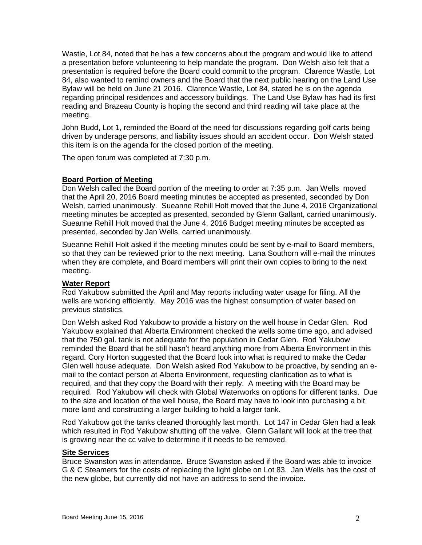Wastle, Lot 84, noted that he has a few concerns about the program and would like to attend a presentation before volunteering to help mandate the program. Don Welsh also felt that a presentation is required before the Board could commit to the program. Clarence Wastle, Lot 84, also wanted to remind owners and the Board that the next public hearing on the Land Use Bylaw will be held on June 21 2016. Clarence Wastle, Lot 84, stated he is on the agenda regarding principal residences and accessory buildings. The Land Use Bylaw has had its first reading and Brazeau County is hoping the second and third reading will take place at the meeting.

John Budd, Lot 1, reminded the Board of the need for discussions regarding golf carts being driven by underage persons, and liability issues should an accident occur. Don Welsh stated this item is on the agenda for the closed portion of the meeting.

The open forum was completed at 7:30 p.m.

## **Board Portion of Meeting**

Don Welsh called the Board portion of the meeting to order at 7:35 p.m. Jan Wells moved that the April 20, 2016 Board meeting minutes be accepted as presented, seconded by Don Welsh, carried unanimously. Sueanne Rehill Holt moved that the June 4, 2016 Organizational meeting minutes be accepted as presented, seconded by Glenn Gallant, carried unanimously. Sueanne Rehill Holt moved that the June 4, 2016 Budget meeting minutes be accepted as presented, seconded by Jan Wells, carried unanimously.

Sueanne Rehill Holt asked if the meeting minutes could be sent by e-mail to Board members, so that they can be reviewed prior to the next meeting. Lana Southorn will e-mail the minutes when they are complete, and Board members will print their own copies to bring to the next meeting.

#### **Water Report**

Rod Yakubow submitted the April and May reports including water usage for filing. All the wells are working efficiently. May 2016 was the highest consumption of water based on previous statistics.

Don Welsh asked Rod Yakubow to provide a history on the well house in Cedar Glen. Rod Yakubow explained that Alberta Environment checked the wells some time ago, and advised that the 750 gal. tank is not adequate for the population in Cedar Glen. Rod Yakubow reminded the Board that he still hasn't heard anything more from Alberta Environment in this regard. Cory Horton suggested that the Board look into what is required to make the Cedar Glen well house adequate. Don Welsh asked Rod Yakubow to be proactive, by sending an email to the contact person at Alberta Environment, requesting clarification as to what is required, and that they copy the Board with their reply. A meeting with the Board may be required. Rod Yakubow will check with Global Waterworks on options for different tanks. Due to the size and location of the well house, the Board may have to look into purchasing a bit more land and constructing a larger building to hold a larger tank.

Rod Yakubow got the tanks cleaned thoroughly last month. Lot 147 in Cedar Glen had a leak which resulted in Rod Yakubow shutting off the valve. Glenn Gallant will look at the tree that is growing near the cc valve to determine if it needs to be removed.

#### **Site Services**

Bruce Swanston was in attendance. Bruce Swanston asked if the Board was able to invoice G & C Steamers for the costs of replacing the light globe on Lot 83. Jan Wells has the cost of the new globe, but currently did not have an address to send the invoice.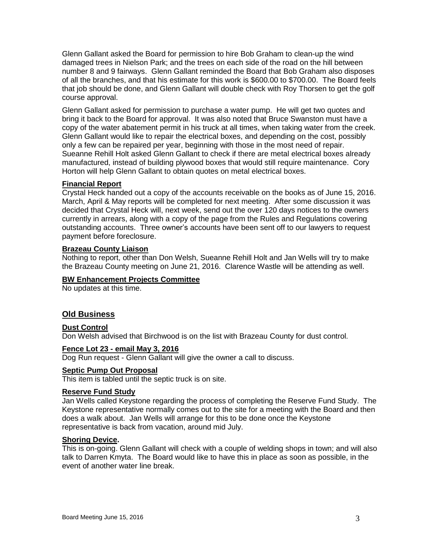Glenn Gallant asked the Board for permission to hire Bob Graham to clean-up the wind damaged trees in Nielson Park; and the trees on each side of the road on the hill between number 8 and 9 fairways. Glenn Gallant reminded the Board that Bob Graham also disposes of all the branches, and that his estimate for this work is \$600.00 to \$700.00. The Board feels that job should be done, and Glenn Gallant will double check with Roy Thorsen to get the golf course approval.

Glenn Gallant asked for permission to purchase a water pump. He will get two quotes and bring it back to the Board for approval. It was also noted that Bruce Swanston must have a copy of the water abatement permit in his truck at all times, when taking water from the creek. Glenn Gallant would like to repair the electrical boxes, and depending on the cost, possibly only a few can be repaired per year, beginning with those in the most need of repair. Sueanne Rehill Holt asked Glenn Gallant to check if there are metal electrical boxes already manufactured, instead of building plywood boxes that would still require maintenance. Cory Horton will help Glenn Gallant to obtain quotes on metal electrical boxes.

# **Financial Report**

Crystal Heck handed out a copy of the accounts receivable on the books as of June 15, 2016. March, April & May reports will be completed for next meeting. After some discussion it was decided that Crystal Heck will, next week, send out the over 120 days notices to the owners currently in arrears, along with a copy of the page from the Rules and Regulations covering outstanding accounts. Three owner's accounts have been sent off to our lawyers to request payment before foreclosure.

#### **Brazeau County Liaison**

Nothing to report, other than Don Welsh, Sueanne Rehill Holt and Jan Wells will try to make the Brazeau County meeting on June 21, 2016. Clarence Wastle will be attending as well.

#### **BW Enhancement Projects Committee**

No updates at this time.

# **Old Business**

#### **Dust Control**

Don Welsh advised that Birchwood is on the list with Brazeau County for dust control.

#### **Fence Lot 23 - email May 3, 2016**

Dog Run request - Glenn Gallant will give the owner a call to discuss.

#### **Septic Pump Out Proposal**

This item is tabled until the septic truck is on site.

#### **Reserve Fund Study**

Jan Wells called Keystone regarding the process of completing the Reserve Fund Study. The Keystone representative normally comes out to the site for a meeting with the Board and then does a walk about. Jan Wells will arrange for this to be done once the Keystone representative is back from vacation, around mid July.

## **Shoring Device.**

This is on-going. Glenn Gallant will check with a couple of welding shops in town; and will also talk to Darren Kmyta. The Board would like to have this in place as soon as possible, in the event of another water line break.